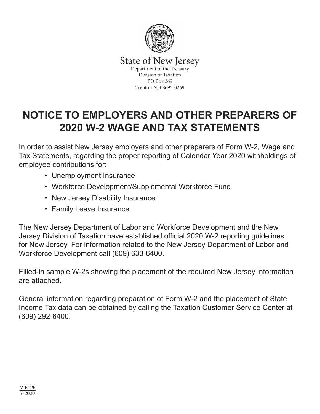

State of New Jersey<br>Department of the Treasury Division of Taxation PO Box 269 Trenton NJ 08695-0269

# **NOTICE TO EMPLOYERS AND OTHER PREPARERS OF 2020 W-2 WAGE AND TAX STATEMENTS**

In order to assist New Jersey employers and other preparers of Form W-2, Wage and Tax Statements, regarding the proper reporting of Calendar Year 2020 withholdings of employee contributions for:

- Unemployment Insurance
- Workforce Development/Supplemental Workforce Fund
- New Jersey Disability Insurance
- Family Leave Insurance

The New Jersey Department of Labor and Workforce Development and the New Jersey Division of Taxation have established official 2020 W-2 reporting guidelines for New Jersey. For information related to the New Jersey Department of Labor and Workforce Development call (609) 633-6400.

Filled-in sample W-2s showing the placement of the required New Jersey information are attached.

General information regarding preparation of Form W-2 and the placement of State Income Tax data can be obtained by calling the Taxation Customer Service Center at (609) 292-6400.

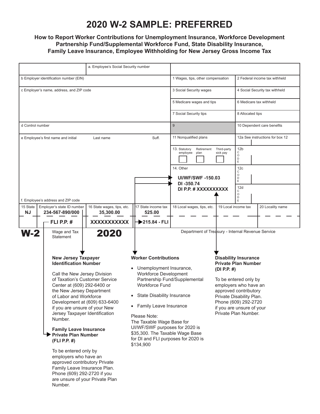# **2020 W-2 SAMPLE: PREFERRED**

### **How to Report Worker Contributions for Unemployment Insurance, Workforce Development Partnership Fund/Supplemental Workforce Fund, State Disability Insurance, Family Leave Insurance, Employee Withholding for New Jersey Gross Income Tax**

|                                                                                                                   | a. Employee's Social Security number                                                                                                                                                                                                                                                                                                                                                                                                                                                                                                                                                                      |             |                                                                                                                                                                                                                                                                                                                                                 |                                                                            |                                                                                                                                                                                                                                                                 |  |  |  |
|-------------------------------------------------------------------------------------------------------------------|-----------------------------------------------------------------------------------------------------------------------------------------------------------------------------------------------------------------------------------------------------------------------------------------------------------------------------------------------------------------------------------------------------------------------------------------------------------------------------------------------------------------------------------------------------------------------------------------------------------|-------------|-------------------------------------------------------------------------------------------------------------------------------------------------------------------------------------------------------------------------------------------------------------------------------------------------------------------------------------------------|----------------------------------------------------------------------------|-----------------------------------------------------------------------------------------------------------------------------------------------------------------------------------------------------------------------------------------------------------------|--|--|--|
| b Employer identification number (EIN)                                                                            |                                                                                                                                                                                                                                                                                                                                                                                                                                                                                                                                                                                                           |             |                                                                                                                                                                                                                                                                                                                                                 | 1 Wages, tips, other compensation                                          | 2 Federal income tax withheld                                                                                                                                                                                                                                   |  |  |  |
| c Employer's name, address, and ZIP code                                                                          |                                                                                                                                                                                                                                                                                                                                                                                                                                                                                                                                                                                                           |             | 3 Social Security wages                                                                                                                                                                                                                                                                                                                         | 4 Social Security tax withheld                                             |                                                                                                                                                                                                                                                                 |  |  |  |
|                                                                                                                   |                                                                                                                                                                                                                                                                                                                                                                                                                                                                                                                                                                                                           |             |                                                                                                                                                                                                                                                                                                                                                 | 5 Medicare wages and tips                                                  | 6 Medicare tax withheld                                                                                                                                                                                                                                         |  |  |  |
|                                                                                                                   |                                                                                                                                                                                                                                                                                                                                                                                                                                                                                                                                                                                                           |             |                                                                                                                                                                                                                                                                                                                                                 | 7 Social Security tips                                                     | 8 Allocated tips                                                                                                                                                                                                                                                |  |  |  |
| d Control number                                                                                                  |                                                                                                                                                                                                                                                                                                                                                                                                                                                                                                                                                                                                           |             |                                                                                                                                                                                                                                                                                                                                                 | 9                                                                          | 10 Dependent care benefits                                                                                                                                                                                                                                      |  |  |  |
|                                                                                                                   | e Employee's first name and initial                                                                                                                                                                                                                                                                                                                                                                                                                                                                                                                                                                       | Last name   | Suff.                                                                                                                                                                                                                                                                                                                                           | 11 Nonqualified plans                                                      | 12a See instructions for box 12                                                                                                                                                                                                                                 |  |  |  |
|                                                                                                                   |                                                                                                                                                                                                                                                                                                                                                                                                                                                                                                                                                                                                           |             |                                                                                                                                                                                                                                                                                                                                                 | 13. Statutory<br>Retirement<br>Third-party<br>employee<br>plan<br>sick pay | 12 <sub>b</sub><br>С<br>$\circ$<br>$\mathsf{D}_{\mathsf{E}}$                                                                                                                                                                                                    |  |  |  |
|                                                                                                                   |                                                                                                                                                                                                                                                                                                                                                                                                                                                                                                                                                                                                           |             |                                                                                                                                                                                                                                                                                                                                                 | 14. Other<br><b>UI/WF/SWF-150.03</b>                                       | 12 <sub>c</sub><br>С<br>$\circ$<br>$\mathsf D$                                                                                                                                                                                                                  |  |  |  |
|                                                                                                                   |                                                                                                                                                                                                                                                                                                                                                                                                                                                                                                                                                                                                           |             |                                                                                                                                                                                                                                                                                                                                                 | DI -350.74<br>DI P.P. # XXXXXXXXXX                                         | E<br>12d                                                                                                                                                                                                                                                        |  |  |  |
|                                                                                                                   | f. Employee's address and ZIP code                                                                                                                                                                                                                                                                                                                                                                                                                                                                                                                                                                        |             |                                                                                                                                                                                                                                                                                                                                                 |                                                                            | $\mathsf C$<br>$\circ$<br>$\mathsf D$<br>Ε                                                                                                                                                                                                                      |  |  |  |
| 15 State<br>Employer's state ID number<br>16 State wages, tips, etc.<br><b>NJ</b><br>234-567-890/000<br>35,300.00 |                                                                                                                                                                                                                                                                                                                                                                                                                                                                                                                                                                                                           |             | 17 State income tax<br>525.00                                                                                                                                                                                                                                                                                                                   | 18 Local wages, tips, etc.                                                 | 19 Local income tax<br>20 Locality name                                                                                                                                                                                                                         |  |  |  |
|                                                                                                                   | - FLI P.P. #                                                                                                                                                                                                                                                                                                                                                                                                                                                                                                                                                                                              | XXXXXXXXXXX | 215.84 - FLI                                                                                                                                                                                                                                                                                                                                    |                                                                            |                                                                                                                                                                                                                                                                 |  |  |  |
| W-2                                                                                                               | Department of Treasury - Internal Revenue Service<br>Wage and Tax<br>2020<br><b>Statement</b>                                                                                                                                                                                                                                                                                                                                                                                                                                                                                                             |             |                                                                                                                                                                                                                                                                                                                                                 |                                                                            |                                                                                                                                                                                                                                                                 |  |  |  |
|                                                                                                                   | <b>New Jersey Taxpayer</b><br><b>Identification Number</b><br>Call the New Jersey Division<br>of Taxation's Customer Service<br>Center at (609) 292-6400 or<br>the New Jersey Department<br>of Labor and Workforce<br>Development at (609) 633-6400<br>if you are unsure of your New<br>Jersey Taxpayer Identification<br>Number.<br><b>Family Leave Insurance</b><br>Private Plan Number<br>(FLI P.P. #)<br>To be entered only by<br>employers who have an<br>approved contributory Private<br>Family Leave Insurance Plan.<br>Phone (609) 292-2720 if you<br>are unsure of your Private Plan<br>Number. |             | <b>Worker Contributions</b><br>Unemployment Insurance,<br><b>Workforce Development</b><br><b>Workforce Fund</b><br>State Disability Insurance<br>• Family Leave Insurance<br>Please Note:<br>The Taxable Wage Base for<br>UI/WF/SWF purposes for 2020 is<br>\$35,300. The Taxable Wage Base<br>for DI and FLI purposes for 2020 is<br>\$134,900 | Partnership Fund/Supplemental                                              | <b>Disability Insurance</b><br><b>Private Plan Number</b><br>(DI P.P. $#$ )<br>To be entered only by<br>employers who have an<br>approved contributory<br>Private Disability Plan.<br>Phone (609) 292-2720<br>if you are unsure of your<br>Private Plan Number. |  |  |  |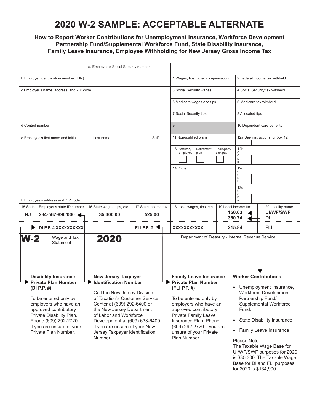### **2020 W-2 SAMPLE: ACCEPTABLE ALTERNATE**

### **How to Report Worker Contributions for Unemployment Insurance, Workforce Development Partnership Fund/Supplemental Workforce Fund, State Disability Insurance, Family Leave Insurance, Employee Withholding for New Jersey Gross Income Tax**

| a. Employee's Social Security number                                                                                                                                                                                             |                                                          |                                                                                                                                                                                                                                                                                                                                   |                               |                                                                                                                                                                                                                                                      |                                                                    |                                                                                                                                                                                                                                                                           |            |  |
|----------------------------------------------------------------------------------------------------------------------------------------------------------------------------------------------------------------------------------|----------------------------------------------------------|-----------------------------------------------------------------------------------------------------------------------------------------------------------------------------------------------------------------------------------------------------------------------------------------------------------------------------------|-------------------------------|------------------------------------------------------------------------------------------------------------------------------------------------------------------------------------------------------------------------------------------------------|--------------------------------------------------------------------|---------------------------------------------------------------------------------------------------------------------------------------------------------------------------------------------------------------------------------------------------------------------------|------------|--|
| b Employer identification number (EIN)                                                                                                                                                                                           |                                                          |                                                                                                                                                                                                                                                                                                                                   |                               |                                                                                                                                                                                                                                                      | 1 Wages, tips, other compensation<br>2 Federal income tax withheld |                                                                                                                                                                                                                                                                           |            |  |
| c Employer's name, address, and ZIP code                                                                                                                                                                                         |                                                          |                                                                                                                                                                                                                                                                                                                                   |                               | 3 Social Security wages                                                                                                                                                                                                                              |                                                                    | 4 Social Security tax withheld                                                                                                                                                                                                                                            |            |  |
|                                                                                                                                                                                                                                  |                                                          |                                                                                                                                                                                                                                                                                                                                   |                               | 5 Medicare wages and tips                                                                                                                                                                                                                            |                                                                    | 6 Medicare tax withheld                                                                                                                                                                                                                                                   |            |  |
|                                                                                                                                                                                                                                  |                                                          |                                                                                                                                                                                                                                                                                                                                   |                               | 7 Social Security tips                                                                                                                                                                                                                               |                                                                    | 8 Allocated tips                                                                                                                                                                                                                                                          |            |  |
| d Control number                                                                                                                                                                                                                 |                                                          |                                                                                                                                                                                                                                                                                                                                   |                               | 9                                                                                                                                                                                                                                                    |                                                                    | 10 Dependent care benefits                                                                                                                                                                                                                                                |            |  |
| e Employee's first name and initial                                                                                                                                                                                              |                                                          | Suff.<br>Last name                                                                                                                                                                                                                                                                                                                |                               | 11 Nonqualified plans                                                                                                                                                                                                                                |                                                                    | 12a See instructions for box 12                                                                                                                                                                                                                                           |            |  |
|                                                                                                                                                                                                                                  |                                                          |                                                                                                                                                                                                                                                                                                                                   |                               | 13. Statutory<br>Retirement<br>employee<br>plan<br>14. Other                                                                                                                                                                                         | Third-party<br>sick pay                                            | 12 <sub>b</sub><br>С<br>$\circ$<br>D<br>E<br>12 <sub>c</sub><br>С<br>O<br>D<br>E<br>12d                                                                                                                                                                                   |            |  |
| f. Employee's address and ZIP code                                                                                                                                                                                               |                                                          |                                                                                                                                                                                                                                                                                                                                   |                               |                                                                                                                                                                                                                                                      |                                                                    | С<br>$\circ$<br>D<br>E                                                                                                                                                                                                                                                    |            |  |
| 15 State<br><b>NJ</b>                                                                                                                                                                                                            | Employer's state ID number<br>234-567-890/000            | 16 State wages, tips, etc.<br>35,300.00                                                                                                                                                                                                                                                                                           | 17 State income tax<br>525.00 | 18 Local wages, tips, etc.                                                                                                                                                                                                                           |                                                                    | 19 Local income tax<br>20 Locality name<br><b>UI/WF/SWF</b><br>150.03<br>350.74<br>DI                                                                                                                                                                                     |            |  |
|                                                                                                                                                                                                                                  | DI P.P. # XXXXXXXXXX                                     |                                                                                                                                                                                                                                                                                                                                   | FLI P.P. $\#$                 | XXXXXXXXXXX                                                                                                                                                                                                                                          |                                                                    | 215.84                                                                                                                                                                                                                                                                    | <b>FLI</b> |  |
| W-2                                                                                                                                                                                                                              | Wage and Tax<br>Statement<br><b>Disability Insurance</b> | Department of Treasury - Internal Revenue Service<br><b>Family Leave Insurance</b>                                                                                                                                                                                                                                                |                               | <b>Worker Contributions</b>                                                                                                                                                                                                                          |                                                                    |                                                                                                                                                                                                                                                                           |            |  |
| <b>Private Plan Number</b><br>(DI P.P. $#$ )<br>To be entered only by<br>employers who have an<br>approved contributory<br>Private Disability Plan.<br>Phone (609) 292-2720<br>if you are unsure of your<br>Private Plan Number. |                                                          | <b>New Jersey Taxpayer</b><br><b>Identification Number</b><br>Call the New Jersey Division<br>of Taxation's Customer Service<br>Center at (609) 292-6400 or<br>the New Jersey Department<br>of Labor and Workforce<br>Development at (609) 633-6400<br>if you are unsure of your New<br>Jersey Taxpayer Identification<br>Number. |                               | <b>Private Plan Number</b><br>(FLI P.P. #)<br>To be entered only by<br>employers who have an<br>approved contributory<br><b>Private Family Leave</b><br>Insurance Plan. Phone<br>(609) 292-2720 if you are<br>unsure of your Private<br>Plan Number. |                                                                    | Unemployment Insurance,<br><b>Workforce Development</b><br>Partnership Fund/<br>Supplemental Workforce<br>Fund.<br><b>State Disability Insurance</b><br>$\bullet$<br>• Family Leave Insurance<br>Please Note:<br>The Taxable Wage Base for<br>LUANE/SWE purposes for 2020 |            |  |

UI/WF/SWF purposes for 2020 is \$35,300. The Taxable Wage Base for DI and FLI purposes for 2020 is \$134,900